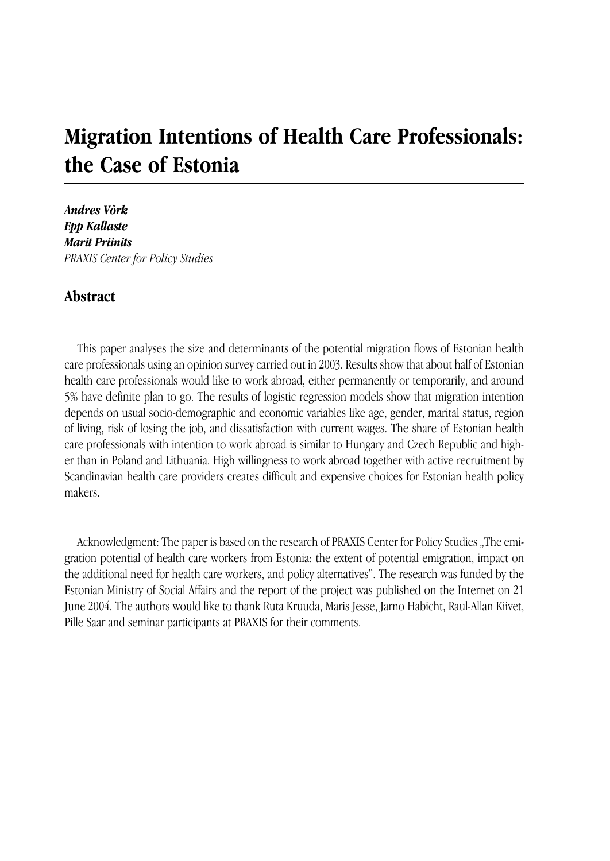# **Migration Intentions of Health Care Professionals: the Case of Estonia**

*Andres Võrk Epp Kallaste Marit Priinits PRAXIS Center for Policy Studies*

## **Abstract**

This paper analyses the size and determinants of the potential migration flows of Estonian health care professionals using an opinion survey carried out in 2003. Results show that about half of Estonian health care professionals would like to work abroad, either permanently or temporarily, and around 5% have definite plan to go. The results of logistic regression models show that migration intention depends on usual socio-demographic and economic variables like age, gender, marital status, region of living, risk of losing the job, and dissatisfaction with current wages. The share of Estonian health care professionals with intention to work abroad is similar to Hungary and Czech Republic and higher than in Poland and Lithuania. High willingness to work abroad together with active recruitment by Scandinavian health care providers creates difficult and expensive choices for Estonian health policy makers.

Acknowledgment: The paper is based on the research of PRAXIS Center for Policy Studies "The emigration potential of health care workers from Estonia: the extent of potential emigration, impact on the additional need for health care workers, and policy alternatives". The research was funded by the Estonian Ministry of Social Affairs and the report of the project was published on the Internet on 21 June 2004. The authors would like to thank Ruta Kruuda, Maris Jesse, Jarno Habicht, Raul-Allan Kiivet, Pille Saar and seminar participants at PRAXIS for their comments.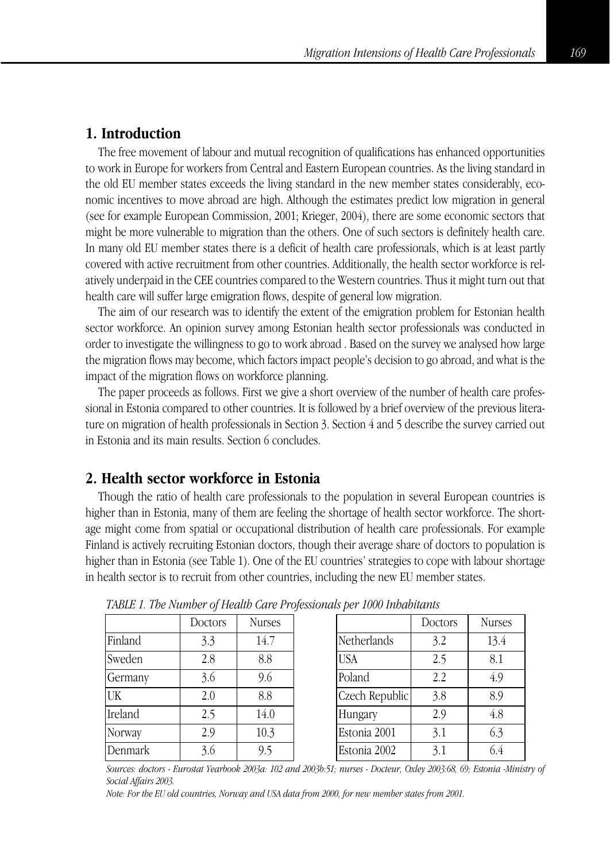# **1. Introduction**

The free movement of labour and mutual recognition of qualifications has enhanced opportunities to work in Europe for workers from Central and Eastern European countries. As the living standard in the old EU member states exceeds the living standard in the new member states considerably, economic incentives to move abroad are high. Although the estimates predict low migration in general (see for example European Commission, 2001; Krieger, 2004), there are some economic sectors that might be more vulnerable to migration than the others. One of such sectors is definitely health care. In many old EU member states there is a deficit of health care professionals, which is at least partly covered with active recruitment from other countries. Additionally, the health sector workforce is relatively underpaid in the CEE countries compared to the Western countries. Thus it might turn out that health care will suffer large emigration flows, despite of general low migration.

The aim of our research was to identify the extent of the emigration problem for Estonian health sector workforce. An opinion survey among Estonian health sector professionals was conducted in order to investigate the willingness to go to work abroad . Based on the survey we analysed how large the migration flows may become, which factors impact people's decision to go abroad, and what is the impact of the migration flows on workforce planning.

The paper proceeds as follows. First we give a short overview of the number of health care professional in Estonia compared to other countries. It is followed by a brief overview of the previous literature on migration of health professionals in Section 3. Section 4 and 5 describe the survey carried out in Estonia and its main results. Section 6 concludes.

# **2. Health sector workforce in Estonia**

Though the ratio of health care professionals to the population in several European countries is higher than in Estonia, many of them are feeling the shortage of health sector workforce. The shortage might come from spatial or occupational distribution of health care professionals. For example Finland is actively recruiting Estonian doctors, though their average share of doctors to population is higher than in Estonia (see Table 1). One of the EU countries' strategies to cope with labour shortage in health sector is to recruit from other countries, including the new EU member states.

|         | Doctors | <b>Nurses</b> |
|---------|---------|---------------|
| Finland | 3.3     | 14.7          |
| Sweden  | 2.8     | 8.8           |
| Germany | 3.6     | 9.6           |
| UK      | 2.0     | 8.8           |
| Ireland | 2.5     | 14.0          |
| Norway  | 2.9     | 10.3          |
| Denmark | 3.6     | 9.5           |

|                | Doctors | <b>Nurses</b> |
|----------------|---------|---------------|
| Netherlands    | 3.2     | 13.4          |
| <b>USA</b>     | 2.5     | 8.1           |
| Poland         | 2.2     | 4.9           |
| Czech Republic | 3.8     | 8.9           |
| Hungary        | 2.9     | 4.8           |
| Estonia 2001   | 3.1     | 6.3           |
| Estonia 2002   | 3.1     | 64            |

*TABLE 1. The Number of Health Care Professionals per 1000 Inhabitants*

*Sources: doctors - Eurostat Yearbook 2003a: 102 and 2003b:51; nurses - Docteur, Oxley 2003:68, 69; Estonia -Ministry of Social Affairs 2003.*

*Note: For the EU old countries, Norway and USA data from 2000, for new member states from 2001.*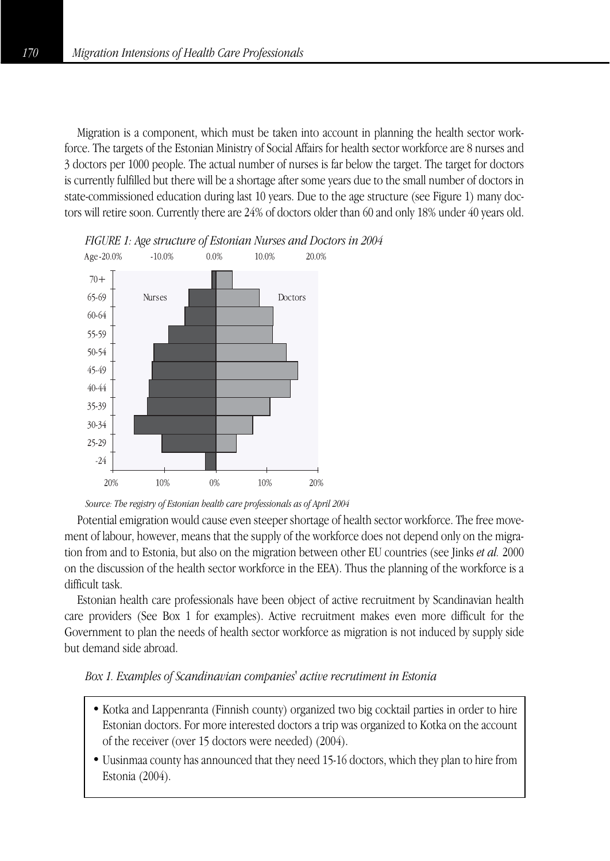Migration is a component, which must be taken into account in planning the health sector workforce. The targets of the Estonian Ministry of Social Affairs for health sector workforce are 8 nurses and 3 doctors per 1000 people. The actual number of nurses is far below the target. The target for doctors is currently fulfilled but there will be a shortage after some years due to the small number of doctors in state-commissioned education during last 10 years. Due to the age structure (see Figure 1) many doctors will retire soon. Currently there are 24% of doctors older than 60 and only 18% under 40 years old.





*Source: The registry of Estonian health care professionals as of April 2004*

Potential emigration would cause even steeper shortage of health sector workforce. The free movement of labour, however, means that the supply of the workforce does not depend only on the migration from and to Estonia, but also on the migration between other EU countries (see Jinks *et al.* 2000 on the discussion of the health sector workforce in the EEA). Thus the planning of the workforce is a difficult task.

Estonian health care professionals have been object of active recruitment by Scandinavian health care providers (See Box 1 for examples). Active recruitment makes even more difficult for the Government to plan the needs of health sector workforce as migration is not induced by supply side but demand side abroad.

#### *Box 1. Examples of Scandinavian companies' active recrutiment in Estonia*

- Kotka and Lappenranta (Finnish county) organized two big cocktail parties in order to hire Estonian doctors. For more interested doctors a trip was organized to Kotka on the account of the receiver (over 15 doctors were needed) (2004).
- Uusinmaa county has announced that they need 15-16 doctors, which they plan to hire from Estonia (2004).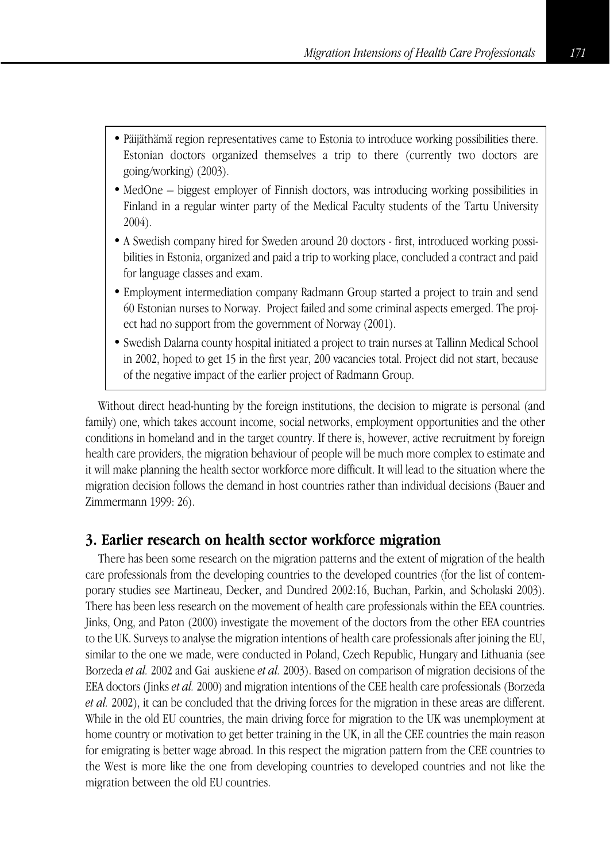- Päijäthämä region representatives came to Estonia to introduce working possibilities there. Estonian doctors organized themselves a trip to there (currently two doctors are going/working) (2003).
- MedOne biggest employer of Finnish doctors, was introducing working possibilities in Finland in a regular winter party of the Medical Faculty students of the Tartu University 2004).
- A Swedish company hired for Sweden around 20 doctors first, introduced working possibilities in Estonia, organized and paid a trip to working place, concluded a contract and paid for language classes and exam.
- Employment intermediation company Radmann Group started a project to train and send 60 Estonian nurses to Norway. Project failed and some criminal aspects emerged. The project had no support from the government of Norway (2001).
- Swedish Dalarna county hospital initiated a project to train nurses at Tallinn Medical School in 2002, hoped to get 15 in the first year, 200 vacancies total. Project did not start, because of the negative impact of the earlier project of Radmann Group.

Without direct head-hunting by the foreign institutions, the decision to migrate is personal (and family) one, which takes account income, social networks, employment opportunities and the other conditions in homeland and in the target country. If there is, however, active recruitment by foreign health care providers, the migration behaviour of people will be much more complex to estimate and it will make planning the health sector workforce more difficult. It will lead to the situation where the migration decision follows the demand in host countries rather than individual decisions (Bauer and Zimmermann 1999: 26).

## **3. Earlier research on health sector workforce migration**

There has been some research on the migration patterns and the extent of migration of the health care professionals from the developing countries to the developed countries (for the list of contemporary studies see Martineau, Decker, and Dundred 2002:16, Buchan, Parkin, and Scholaski 2003). There has been less research on the movement of health care professionals within the EEA countries. Jinks, Ong, and Paton (2000) investigate the movement of the doctors from the other EEA countries to the UK. Surveys to analyse the migration intentions of health care professionals after joining the EU, similar to the one we made, were conducted in Poland, Czech Republic, Hungary and Lithuania (see Borzeda *et al.* 2002 and Gai auskiene *et al.* 2003). Based on comparison of migration decisions of the EEA doctors (Jinks *et al.* 2000) and migration intentions of the CEE health care professionals (Borzeda *et al.* 2002), it can be concluded that the driving forces for the migration in these areas are different. While in the old EU countries, the main driving force for migration to the UK was unemployment at home country or motivation to get better training in the UK, in all the CEE countries the main reason for emigrating is better wage abroad. In this respect the migration pattern from the CEE countries to the West is more like the one from developing countries to developed countries and not like the migration between the old EU countries.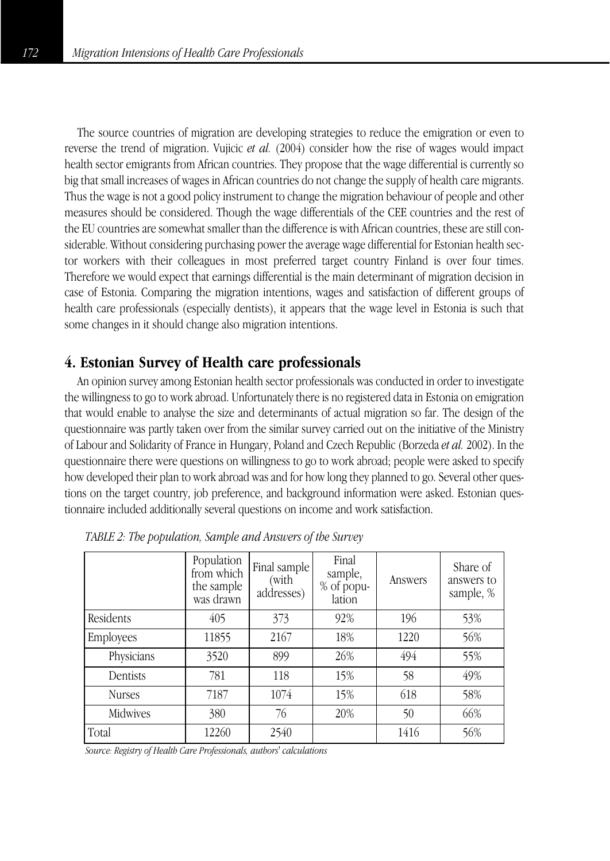The source countries of migration are developing strategies to reduce the emigration or even to reverse the trend of migration. Vujicic *et al.* (2004) consider how the rise of wages would impact health sector emigrants from African countries. They propose that the wage differential is currently so big that small increases of wages in African countries do not change the supply of health care migrants. Thus the wage is not a good policy instrument to change the migration behaviour of people and other measures should be considered. Though the wage differentials of the CEE countries and the rest of the EU countries are somewhat smaller than the difference is with African countries, these are still considerable. Without considering purchasing power the average wage differential for Estonian health sector workers with their colleagues in most preferred target country Finland is over four times. Therefore we would expect that earnings differential is the main determinant of migration decision in case of Estonia. Comparing the migration intentions, wages and satisfaction of different groups of health care professionals (especially dentists), it appears that the wage level in Estonia is such that some changes in it should change also migration intentions.

## **4. Estonian Survey of Health care professionals**

An opinion survey among Estonian health sector professionals was conducted in order to investigate the willingness to go to work abroad. Unfortunately there is no registered data in Estonia on emigration that would enable to analyse the size and determinants of actual migration so far. The design of the questionnaire was partly taken over from the similar survey carried out on the initiative of the Ministry of Labour and Solidarity of France in Hungary, Poland and Czech Republic (Borzeda *et al.* 2002). In the questionnaire there were questions on willingness to go to work abroad; people were asked to specify how developed their plan to work abroad was and for how long they planned to go. Several other questions on the target country, job preference, and background information were asked. Estonian questionnaire included additionally several questions on income and work satisfaction.

|               | Population<br>from which<br>the sample<br>was drawn | Final sample<br>(with<br>addresses) | Final<br>sample,<br>% of popu-<br>lation | Answers | Share of<br>answers to<br>sample, % |
|---------------|-----------------------------------------------------|-------------------------------------|------------------------------------------|---------|-------------------------------------|
| Residents     | 405                                                 | 373                                 | 92%                                      | 196     | 53%                                 |
| Employees     | 11855                                               | 2167                                | 18%                                      | 1220    | 56%                                 |
| Physicians    | 3520                                                | 899                                 | 26%                                      | 494     | 55%                                 |
| Dentists      | 781                                                 | 118                                 | 15%                                      | 58      | 49%                                 |
| <b>Nurses</b> | 7187                                                | 1074                                | 15%                                      | 618     | 58%                                 |
| Midwives      | 380                                                 | 76                                  | 20%                                      | 50      | 66%                                 |
| Total         | 12260                                               | 2540                                |                                          | 1416    | 56%                                 |

*TABLE 2: The population, Sample and Answers of the Survey*

*Source: Registry of Health Care Professionals, authors' calculations*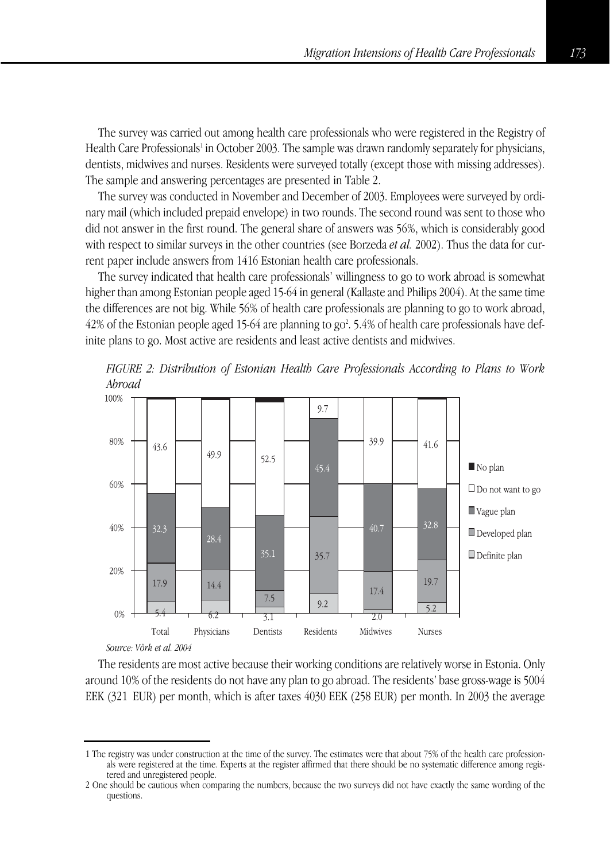The survey was carried out among health care professionals who were registered in the Registry of Health Care Professionals<sup>1</sup> in October 2003. The sample was drawn randomly separately for physicians, dentists, midwives and nurses. Residents were surveyed totally (except those with missing addresses). The sample and answering percentages are presented in Table 2.

The survey was conducted in November and December of 2003. Employees were surveyed by ordinary mail (which included prepaid envelope) in two rounds. The second round was sent to those who did not answer in the first round. The general share of answers was 56%, which is considerably good with respect to similar surveys in the other countries (see Borzeda *et al.* 2002). Thus the data for current paper include answers from 1416 Estonian health care professionals.

The survey indicated that health care professionals' willingness to go to work abroad is somewhat higher than among Estonian people aged 15-64 in general (Kallaste and Philips 2004). At the same time the differences are not big. While 56% of health care professionals are planning to go to work abroad, 42% of the Estonian people aged 15-64 are planning to go<sup>2</sup>. 5.4% of health care professionals have definite plans to go. Most active are residents and least active dentists and midwives.



*FIGURE 2: Distribution of Estonian Health Care Professionals According to Plans to Work*

*Source: Võrk et al. 2004*

The residents are most active because their working conditions are relatively worse in Estonia. Only around 10% of the residents do not have any plan to go abroad. The residents' base gross-wage is 5004 EEK (321 EUR) per month, which is after taxes 4030 EEK (258 EUR) per month. In 2003 the average

<sup>1</sup> The registry was under construction at the time of the survey. The estimates were that about 75% of the health care professionals were registered at the time. Experts at the register affirmed that there should be no systematic difference among registered and unregistered people.

<sup>2</sup> One should be cautious when comparing the numbers, because the two surveys did not have exactly the same wording of the questions.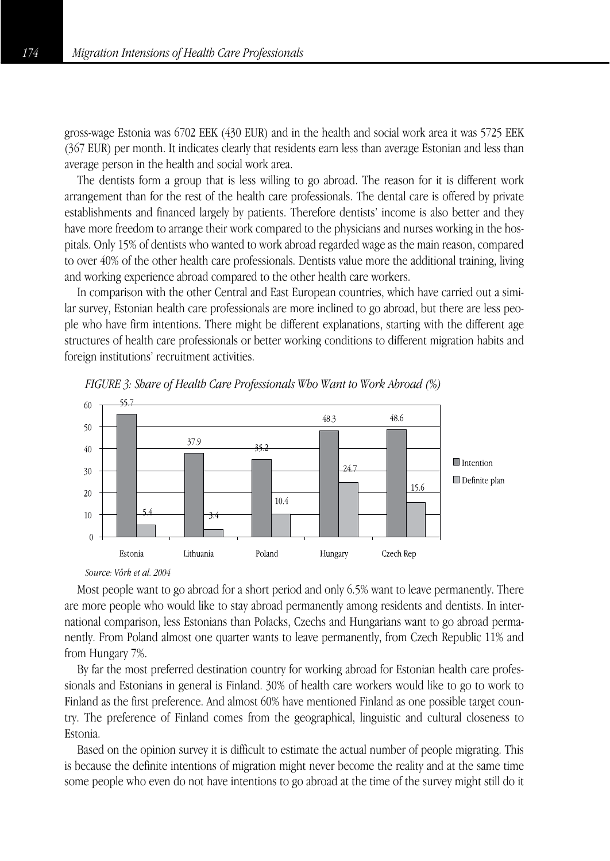gross-wage Estonia was 6702 EEK (430 EUR) and in the health and social work area it was 5725 EEK (367 EUR) per month. It indicates clearly that residents earn less than average Estonian and less than average person in the health and social work area.

The dentists form a group that is less willing to go abroad. The reason for it is different work arrangement than for the rest of the health care professionals. The dental care is offered by private establishments and financed largely by patients. Therefore dentists' income is also better and they have more freedom to arrange their work compared to the physicians and nurses working in the hospitals. Only 15% of dentists who wanted to work abroad regarded wage as the main reason, compared to over 40% of the other health care professionals. Dentists value more the additional training, living and working experience abroad compared to the other health care workers.

In comparison with the other Central and East European countries, which have carried out a similar survey, Estonian health care professionals are more inclined to go abroad, but there are less people who have firm intentions. There might be different explanations, starting with the different age structures of health care professionals or better working conditions to different migration habits and foreign institutions' recruitment activities.



*FIGURE 3: Share of Health Care Professionals Who Want to Work Abroad (%)*

#### *Source: Võrk et al. 2004*

Most people want to go abroad for a short period and only 6.5% want to leave permanently. There are more people who would like to stay abroad permanently among residents and dentists. In international comparison, less Estonians than Polacks, Czechs and Hungarians want to go abroad permanently. From Poland almost one quarter wants to leave permanently, from Czech Republic 11% and from Hungary 7%.

By far the most preferred destination country for working abroad for Estonian health care professionals and Estonians in general is Finland. 30% of health care workers would like to go to work to Finland as the first preference. And almost 60% have mentioned Finland as one possible target country. The preference of Finland comes from the geographical, linguistic and cultural closeness to Estonia.

Based on the opinion survey it is difficult to estimate the actual number of people migrating. This is because the definite intentions of migration might never become the reality and at the same time some people who even do not have intentions to go abroad at the time of the survey might still do it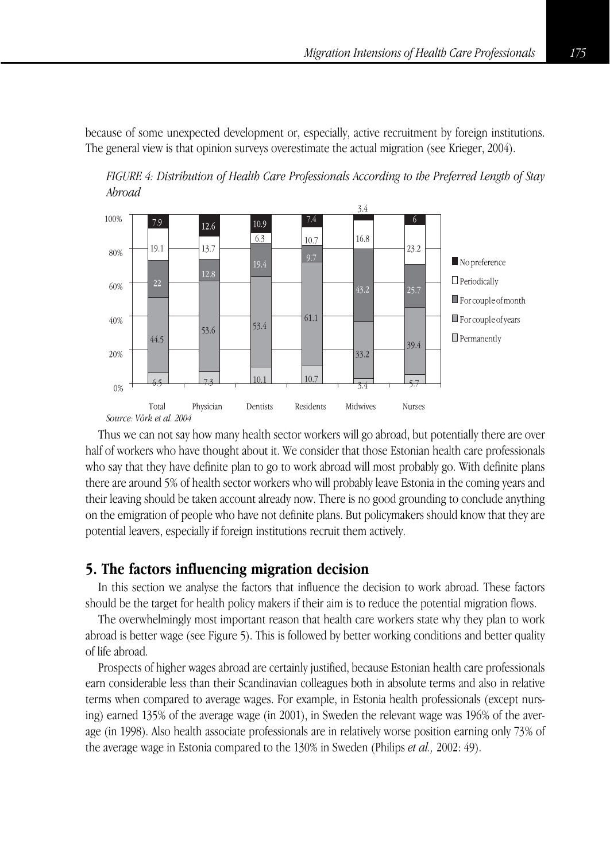because of some unexpected development or, especially, active recruitment by foreign institutions. The general view is that opinion surveys overestimate the actual migration (see Krieger, 2004).

*FIGURE 4: Distribution of Health Care Professionals According to the Preferred Length of Stay Abroad*



Thus we can not say how many health sector workers will go abroad, but potentially there are over half of workers who have thought about it. We consider that those Estonian health care professionals who say that they have definite plan to go to work abroad will most probably go. With definite plans there are around 5% of health sector workers who will probably leave Estonia in the coming years and their leaving should be taken account already now. There is no good grounding to conclude anything on the emigration of people who have not definite plans. But policymakers should know that they are potential leavers, especially if foreign institutions recruit them actively.

### **5. The factors influencing migration decision**

In this section we analyse the factors that influence the decision to work abroad. These factors should be the target for health policy makers if their aim is to reduce the potential migration flows.

The overwhelmingly most important reason that health care workers state why they plan to work abroad is better wage (see Figure 5). This is followed by better working conditions and better quality of life abroad.

Prospects of higher wages abroad are certainly justified, because Estonian health care professionals earn considerable less than their Scandinavian colleagues both in absolute terms and also in relative terms when compared to average wages. For example, in Estonia health professionals (except nursing) earned 135% of the average wage (in 2001), in Sweden the relevant wage was 196% of the average (in 1998). Also health associate professionals are in relatively worse position earning only 73% of the average wage in Estonia compared to the 130% in Sweden (Philips *et al.,* 2002: 49).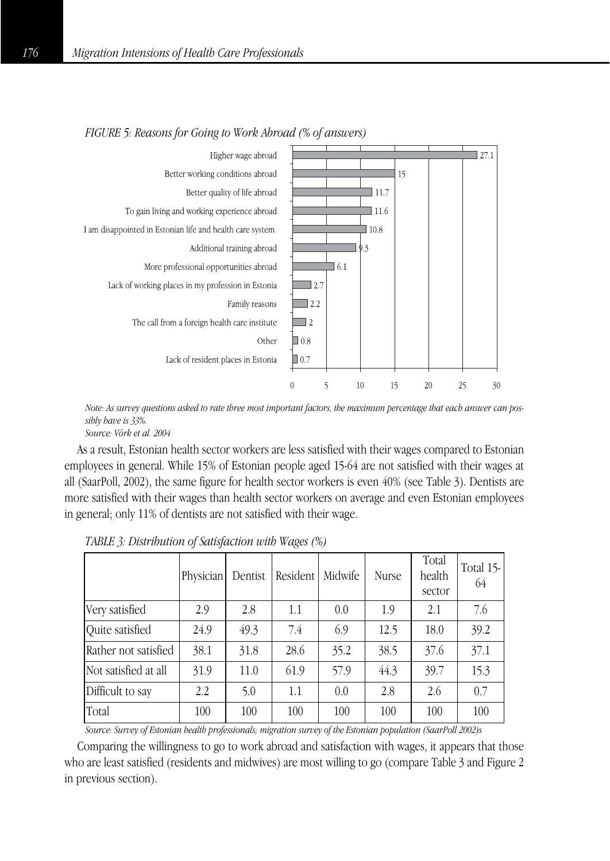

#### *FIGURE 5: Reasons for Going to Work Abroad (% of answers)*

*Note: As survey questions asked to rate three most important factors, the maximum percentage that each answer can possibly have is 33%.*

*Source: Võrk et al. 2004*

As a result, Estonian health sector workers are less satisfied with their wages compared to Estonian employees in general. While 15% of Estonian people aged 15-64 are not satisfied with their wages at all (SaarPoll, 2002), the same figure for health sector workers is even 40% (see Table 3). Dentists are more satisfied with their wages than health sector workers on average and even Estonian employees in general; only 11% of dentists are not satisfied with their wage.

|                      | Physician | Dentist | Resident | Midwife | Nurse | Total<br>health<br>sector | Total 15-<br>64 |
|----------------------|-----------|---------|----------|---------|-------|---------------------------|-----------------|
| Very satisfied       | 2.9       | 2.8     | 1.1      | 0.0     | 1.9   | 2.1                       | 7.6             |
| Ouite satisfied      | 24.9      | 49.3    | 7.4      | 6.9     | 12.5  | 18.0                      | 39.2            |
| Rather not satisfied | 38.1      | 31.8    | 28.6     | 35.2    | 38.5  | 37.6                      | 37.1            |
| Not satisfied at all | 31.9      | 11.0    | 61.9     | 57.9    | 44.3  | 39.7                      | 15.3            |
| Difficult to say     | 2.2       | 5.0     | 1.1      | 0.0     | 2.8   | 2.6                       | 0.7             |
| Total                | 100       | 100     | 100      | 100     | 100   | 100                       | 100             |

*TABLE 3: Distribution of Satisfaction with Wages (%)*

*Source: Survey of Estonian health professionals; migration survey of the Estonian population (SaarPoll 2002)s*

Comparing the willingness to go to work abroad and satisfaction with wages, it appears that those who are least satisfied (residents and midwives) are most willing to go (compare Table 3 and Figure 2 in previous section).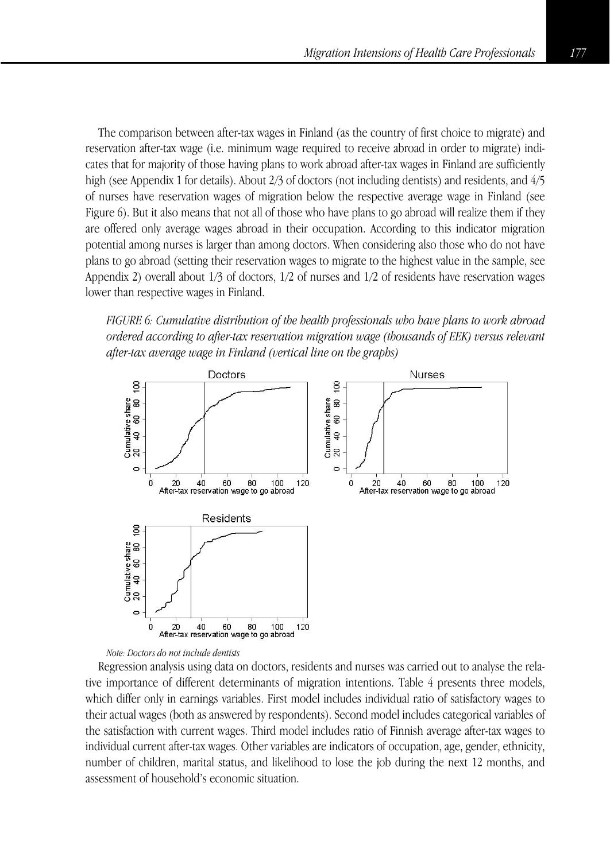The comparison between after-tax wages in Finland (as the country of first choice to migrate) and reservation after-tax wage (i.e. minimum wage required to receive abroad in order to migrate) indicates that for majority of those having plans to work abroad after-tax wages in Finland are sufficiently high (see Appendix 1 for details). About 2/3 of doctors (not including dentists) and residents, and  $4/5$ of nurses have reservation wages of migration below the respective average wage in Finland (see Figure 6). But it also means that not all of those who have plans to go abroad will realize them if they are offered only average wages abroad in their occupation. According to this indicator migration potential among nurses is larger than among doctors. When considering also those who do not have plans to go abroad (setting their reservation wages to migrate to the highest value in the sample, see Appendix 2) overall about 1/3 of doctors, 1/2 of nurses and 1/2 of residents have reservation wages lower than respective wages in Finland.

*FIGURE 6: Cumulative distribution of the health professionals who have plans to work abroad ordered according to after-tax reservation migration wage (thousands of EEK) versus relevant after-tax average wage in Finland (vertical line on the graphs)*



#### *Note: Doctors do not include dentists*

Regression analysis using data on doctors, residents and nurses was carried out to analyse the relative importance of different determinants of migration intentions. Table 4 presents three models, which differ only in earnings variables. First model includes individual ratio of satisfactory wages to their actual wages (both as answered by respondents). Second model includes categorical variables of the satisfaction with current wages. Third model includes ratio of Finnish average after-tax wages to individual current after-tax wages. Other variables are indicators of occupation, age, gender, ethnicity, number of children, marital status, and likelihood to lose the job during the next 12 months, and assessment of household's economic situation.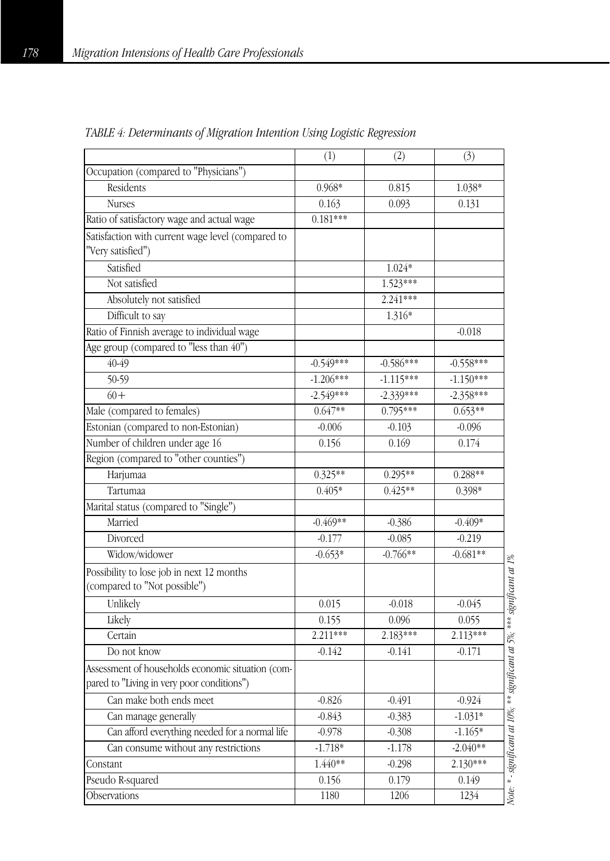| Occupation (compared to "Physicians")<br>Residents<br>$0.968*$<br>0.815<br>1.038*<br><b>Nurses</b><br>0.163<br>0.093<br>0.131<br>$0.181***$<br>Ratio of satisfactory wage and actual wage<br>Satisfaction with current wage level (compared to<br>"Very satisfied")<br>Satisfied<br>$1.024*$<br>1.523***<br>Not satisfied<br>Absolutely not satisfied<br>2.241***<br>Difficult to say<br>1.316*<br>Ratio of Finnish average to individual wage<br>$-0.018$<br>Age group (compared to "less than 40")<br>$40-49$<br>$-0.586***$<br>$-0.558***$<br>$-0.549***$<br>50-59<br>$-1.206***$<br>$-1.115***$<br>$-1.150***$<br>$60 +$<br>$-2.549***$<br>$-2.339***$<br>$-2.358***$<br>$0.795***$<br>$0.653**$<br>Male (compared to females)<br>$0.647**$<br>Estonian (compared to non-Estonian)<br>$-0.103$<br>$-0.096$<br>$-0.006$<br>Number of children under age 16<br>0.169<br>0.174<br>0.156<br>Region (compared to "other counties")<br>Harjumaa<br>$0.325**$<br>$0.295**$<br>0.288**<br>Tartumaa<br>$0.405*$<br>$0.425**$<br>0.398*<br>Marital status (compared to "Single")<br>Married<br>$-0.469**$<br>$-0.386$<br>$-0.409*$<br>Divorced<br>$-0.177$<br>$-0.085$<br>$-0.219$<br>$-0.766**$<br>$-0.681**$<br>Widow/widower<br>$-0.653*$<br>Note: * - significant at 10%; ** significant at 5%; *** significant at 1%<br>Possibility to lose job in next 12 months<br>(compared to "Not possible")<br>Unlikely<br>0.015<br>$-0.018$<br>$-0.045$<br>0.155<br>0.096<br>0.055<br>Likely<br>2.211***<br>2.183***<br>2.113***<br>Certain<br>Do not know<br>$-0.142$<br>$-0.141$<br>$-0.171$<br>Assessment of households economic situation (com-<br>pared to "Living in very poor conditions")<br>Can make both ends meet<br>$-0.826$<br>$-0.491$<br>$-0.924$<br>$-0.843$<br>$-0.383$<br>$-1.031*$<br>Can manage generally<br>Can afford everything needed for a normal life<br>$-1.165*$<br>$-0.978$<br>$-0.308$<br>$-2.040**$<br>Can consume without any restrictions<br>$-1.718*$<br>$-1.178$<br>$2.130***$<br>1.440**<br>$-0.298$<br>Constant<br>Pseudo R-squared<br>0.179<br>0.149<br>0.156<br>Observations<br>1180<br>1206<br>1234 | (1) | (2) | (3) |  |
|-----------------------------------------------------------------------------------------------------------------------------------------------------------------------------------------------------------------------------------------------------------------------------------------------------------------------------------------------------------------------------------------------------------------------------------------------------------------------------------------------------------------------------------------------------------------------------------------------------------------------------------------------------------------------------------------------------------------------------------------------------------------------------------------------------------------------------------------------------------------------------------------------------------------------------------------------------------------------------------------------------------------------------------------------------------------------------------------------------------------------------------------------------------------------------------------------------------------------------------------------------------------------------------------------------------------------------------------------------------------------------------------------------------------------------------------------------------------------------------------------------------------------------------------------------------------------------------------------------------------------------------------------------------------------------------------------------------------------------------------------------------------------------------------------------------------------------------------------------------------------------------------------------------------------------------------------------------------------------------------------------------------------------------------------------------------------------------------------------------------------------------|-----|-----|-----|--|
|                                                                                                                                                                                                                                                                                                                                                                                                                                                                                                                                                                                                                                                                                                                                                                                                                                                                                                                                                                                                                                                                                                                                                                                                                                                                                                                                                                                                                                                                                                                                                                                                                                                                                                                                                                                                                                                                                                                                                                                                                                                                                                                                   |     |     |     |  |
|                                                                                                                                                                                                                                                                                                                                                                                                                                                                                                                                                                                                                                                                                                                                                                                                                                                                                                                                                                                                                                                                                                                                                                                                                                                                                                                                                                                                                                                                                                                                                                                                                                                                                                                                                                                                                                                                                                                                                                                                                                                                                                                                   |     |     |     |  |
|                                                                                                                                                                                                                                                                                                                                                                                                                                                                                                                                                                                                                                                                                                                                                                                                                                                                                                                                                                                                                                                                                                                                                                                                                                                                                                                                                                                                                                                                                                                                                                                                                                                                                                                                                                                                                                                                                                                                                                                                                                                                                                                                   |     |     |     |  |
|                                                                                                                                                                                                                                                                                                                                                                                                                                                                                                                                                                                                                                                                                                                                                                                                                                                                                                                                                                                                                                                                                                                                                                                                                                                                                                                                                                                                                                                                                                                                                                                                                                                                                                                                                                                                                                                                                                                                                                                                                                                                                                                                   |     |     |     |  |
|                                                                                                                                                                                                                                                                                                                                                                                                                                                                                                                                                                                                                                                                                                                                                                                                                                                                                                                                                                                                                                                                                                                                                                                                                                                                                                                                                                                                                                                                                                                                                                                                                                                                                                                                                                                                                                                                                                                                                                                                                                                                                                                                   |     |     |     |  |
|                                                                                                                                                                                                                                                                                                                                                                                                                                                                                                                                                                                                                                                                                                                                                                                                                                                                                                                                                                                                                                                                                                                                                                                                                                                                                                                                                                                                                                                                                                                                                                                                                                                                                                                                                                                                                                                                                                                                                                                                                                                                                                                                   |     |     |     |  |
|                                                                                                                                                                                                                                                                                                                                                                                                                                                                                                                                                                                                                                                                                                                                                                                                                                                                                                                                                                                                                                                                                                                                                                                                                                                                                                                                                                                                                                                                                                                                                                                                                                                                                                                                                                                                                                                                                                                                                                                                                                                                                                                                   |     |     |     |  |
|                                                                                                                                                                                                                                                                                                                                                                                                                                                                                                                                                                                                                                                                                                                                                                                                                                                                                                                                                                                                                                                                                                                                                                                                                                                                                                                                                                                                                                                                                                                                                                                                                                                                                                                                                                                                                                                                                                                                                                                                                                                                                                                                   |     |     |     |  |
|                                                                                                                                                                                                                                                                                                                                                                                                                                                                                                                                                                                                                                                                                                                                                                                                                                                                                                                                                                                                                                                                                                                                                                                                                                                                                                                                                                                                                                                                                                                                                                                                                                                                                                                                                                                                                                                                                                                                                                                                                                                                                                                                   |     |     |     |  |
|                                                                                                                                                                                                                                                                                                                                                                                                                                                                                                                                                                                                                                                                                                                                                                                                                                                                                                                                                                                                                                                                                                                                                                                                                                                                                                                                                                                                                                                                                                                                                                                                                                                                                                                                                                                                                                                                                                                                                                                                                                                                                                                                   |     |     |     |  |
|                                                                                                                                                                                                                                                                                                                                                                                                                                                                                                                                                                                                                                                                                                                                                                                                                                                                                                                                                                                                                                                                                                                                                                                                                                                                                                                                                                                                                                                                                                                                                                                                                                                                                                                                                                                                                                                                                                                                                                                                                                                                                                                                   |     |     |     |  |
|                                                                                                                                                                                                                                                                                                                                                                                                                                                                                                                                                                                                                                                                                                                                                                                                                                                                                                                                                                                                                                                                                                                                                                                                                                                                                                                                                                                                                                                                                                                                                                                                                                                                                                                                                                                                                                                                                                                                                                                                                                                                                                                                   |     |     |     |  |
|                                                                                                                                                                                                                                                                                                                                                                                                                                                                                                                                                                                                                                                                                                                                                                                                                                                                                                                                                                                                                                                                                                                                                                                                                                                                                                                                                                                                                                                                                                                                                                                                                                                                                                                                                                                                                                                                                                                                                                                                                                                                                                                                   |     |     |     |  |
|                                                                                                                                                                                                                                                                                                                                                                                                                                                                                                                                                                                                                                                                                                                                                                                                                                                                                                                                                                                                                                                                                                                                                                                                                                                                                                                                                                                                                                                                                                                                                                                                                                                                                                                                                                                                                                                                                                                                                                                                                                                                                                                                   |     |     |     |  |
|                                                                                                                                                                                                                                                                                                                                                                                                                                                                                                                                                                                                                                                                                                                                                                                                                                                                                                                                                                                                                                                                                                                                                                                                                                                                                                                                                                                                                                                                                                                                                                                                                                                                                                                                                                                                                                                                                                                                                                                                                                                                                                                                   |     |     |     |  |
|                                                                                                                                                                                                                                                                                                                                                                                                                                                                                                                                                                                                                                                                                                                                                                                                                                                                                                                                                                                                                                                                                                                                                                                                                                                                                                                                                                                                                                                                                                                                                                                                                                                                                                                                                                                                                                                                                                                                                                                                                                                                                                                                   |     |     |     |  |
|                                                                                                                                                                                                                                                                                                                                                                                                                                                                                                                                                                                                                                                                                                                                                                                                                                                                                                                                                                                                                                                                                                                                                                                                                                                                                                                                                                                                                                                                                                                                                                                                                                                                                                                                                                                                                                                                                                                                                                                                                                                                                                                                   |     |     |     |  |
|                                                                                                                                                                                                                                                                                                                                                                                                                                                                                                                                                                                                                                                                                                                                                                                                                                                                                                                                                                                                                                                                                                                                                                                                                                                                                                                                                                                                                                                                                                                                                                                                                                                                                                                                                                                                                                                                                                                                                                                                                                                                                                                                   |     |     |     |  |
|                                                                                                                                                                                                                                                                                                                                                                                                                                                                                                                                                                                                                                                                                                                                                                                                                                                                                                                                                                                                                                                                                                                                                                                                                                                                                                                                                                                                                                                                                                                                                                                                                                                                                                                                                                                                                                                                                                                                                                                                                                                                                                                                   |     |     |     |  |
|                                                                                                                                                                                                                                                                                                                                                                                                                                                                                                                                                                                                                                                                                                                                                                                                                                                                                                                                                                                                                                                                                                                                                                                                                                                                                                                                                                                                                                                                                                                                                                                                                                                                                                                                                                                                                                                                                                                                                                                                                                                                                                                                   |     |     |     |  |
|                                                                                                                                                                                                                                                                                                                                                                                                                                                                                                                                                                                                                                                                                                                                                                                                                                                                                                                                                                                                                                                                                                                                                                                                                                                                                                                                                                                                                                                                                                                                                                                                                                                                                                                                                                                                                                                                                                                                                                                                                                                                                                                                   |     |     |     |  |
|                                                                                                                                                                                                                                                                                                                                                                                                                                                                                                                                                                                                                                                                                                                                                                                                                                                                                                                                                                                                                                                                                                                                                                                                                                                                                                                                                                                                                                                                                                                                                                                                                                                                                                                                                                                                                                                                                                                                                                                                                                                                                                                                   |     |     |     |  |
|                                                                                                                                                                                                                                                                                                                                                                                                                                                                                                                                                                                                                                                                                                                                                                                                                                                                                                                                                                                                                                                                                                                                                                                                                                                                                                                                                                                                                                                                                                                                                                                                                                                                                                                                                                                                                                                                                                                                                                                                                                                                                                                                   |     |     |     |  |
|                                                                                                                                                                                                                                                                                                                                                                                                                                                                                                                                                                                                                                                                                                                                                                                                                                                                                                                                                                                                                                                                                                                                                                                                                                                                                                                                                                                                                                                                                                                                                                                                                                                                                                                                                                                                                                                                                                                                                                                                                                                                                                                                   |     |     |     |  |
|                                                                                                                                                                                                                                                                                                                                                                                                                                                                                                                                                                                                                                                                                                                                                                                                                                                                                                                                                                                                                                                                                                                                                                                                                                                                                                                                                                                                                                                                                                                                                                                                                                                                                                                                                                                                                                                                                                                                                                                                                                                                                                                                   |     |     |     |  |
|                                                                                                                                                                                                                                                                                                                                                                                                                                                                                                                                                                                                                                                                                                                                                                                                                                                                                                                                                                                                                                                                                                                                                                                                                                                                                                                                                                                                                                                                                                                                                                                                                                                                                                                                                                                                                                                                                                                                                                                                                                                                                                                                   |     |     |     |  |
|                                                                                                                                                                                                                                                                                                                                                                                                                                                                                                                                                                                                                                                                                                                                                                                                                                                                                                                                                                                                                                                                                                                                                                                                                                                                                                                                                                                                                                                                                                                                                                                                                                                                                                                                                                                                                                                                                                                                                                                                                                                                                                                                   |     |     |     |  |
|                                                                                                                                                                                                                                                                                                                                                                                                                                                                                                                                                                                                                                                                                                                                                                                                                                                                                                                                                                                                                                                                                                                                                                                                                                                                                                                                                                                                                                                                                                                                                                                                                                                                                                                                                                                                                                                                                                                                                                                                                                                                                                                                   |     |     |     |  |
|                                                                                                                                                                                                                                                                                                                                                                                                                                                                                                                                                                                                                                                                                                                                                                                                                                                                                                                                                                                                                                                                                                                                                                                                                                                                                                                                                                                                                                                                                                                                                                                                                                                                                                                                                                                                                                                                                                                                                                                                                                                                                                                                   |     |     |     |  |
|                                                                                                                                                                                                                                                                                                                                                                                                                                                                                                                                                                                                                                                                                                                                                                                                                                                                                                                                                                                                                                                                                                                                                                                                                                                                                                                                                                                                                                                                                                                                                                                                                                                                                                                                                                                                                                                                                                                                                                                                                                                                                                                                   |     |     |     |  |
|                                                                                                                                                                                                                                                                                                                                                                                                                                                                                                                                                                                                                                                                                                                                                                                                                                                                                                                                                                                                                                                                                                                                                                                                                                                                                                                                                                                                                                                                                                                                                                                                                                                                                                                                                                                                                                                                                                                                                                                                                                                                                                                                   |     |     |     |  |
|                                                                                                                                                                                                                                                                                                                                                                                                                                                                                                                                                                                                                                                                                                                                                                                                                                                                                                                                                                                                                                                                                                                                                                                                                                                                                                                                                                                                                                                                                                                                                                                                                                                                                                                                                                                                                                                                                                                                                                                                                                                                                                                                   |     |     |     |  |
|                                                                                                                                                                                                                                                                                                                                                                                                                                                                                                                                                                                                                                                                                                                                                                                                                                                                                                                                                                                                                                                                                                                                                                                                                                                                                                                                                                                                                                                                                                                                                                                                                                                                                                                                                                                                                                                                                                                                                                                                                                                                                                                                   |     |     |     |  |
|                                                                                                                                                                                                                                                                                                                                                                                                                                                                                                                                                                                                                                                                                                                                                                                                                                                                                                                                                                                                                                                                                                                                                                                                                                                                                                                                                                                                                                                                                                                                                                                                                                                                                                                                                                                                                                                                                                                                                                                                                                                                                                                                   |     |     |     |  |
|                                                                                                                                                                                                                                                                                                                                                                                                                                                                                                                                                                                                                                                                                                                                                                                                                                                                                                                                                                                                                                                                                                                                                                                                                                                                                                                                                                                                                                                                                                                                                                                                                                                                                                                                                                                                                                                                                                                                                                                                                                                                                                                                   |     |     |     |  |
|                                                                                                                                                                                                                                                                                                                                                                                                                                                                                                                                                                                                                                                                                                                                                                                                                                                                                                                                                                                                                                                                                                                                                                                                                                                                                                                                                                                                                                                                                                                                                                                                                                                                                                                                                                                                                                                                                                                                                                                                                                                                                                                                   |     |     |     |  |
|                                                                                                                                                                                                                                                                                                                                                                                                                                                                                                                                                                                                                                                                                                                                                                                                                                                                                                                                                                                                                                                                                                                                                                                                                                                                                                                                                                                                                                                                                                                                                                                                                                                                                                                                                                                                                                                                                                                                                                                                                                                                                                                                   |     |     |     |  |

*TABLE 4: Determinants of Migration Intention Using Logistic Regression*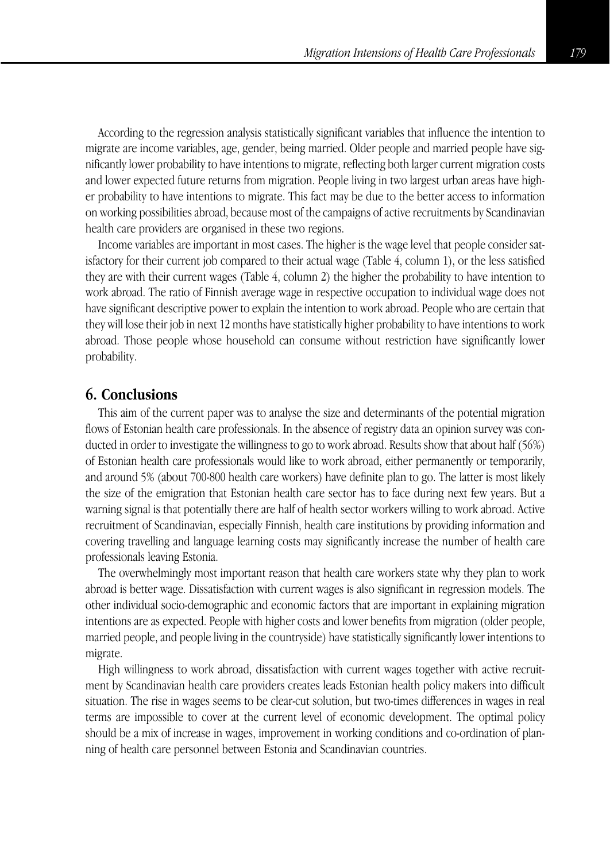According to the regression analysis statistically significant variables that influence the intention to migrate are income variables, age, gender, being married. Older people and married people have significantly lower probability to have intentions to migrate, reflecting both larger current migration costs and lower expected future returns from migration. People living in two largest urban areas have higher probability to have intentions to migrate. This fact may be due to the better access to information on working possibilities abroad, because most of the campaigns of active recruitments by Scandinavian health care providers are organised in these two regions.

Income variables are important in most cases. The higher is the wage level that people consider satisfactory for their current job compared to their actual wage (Table 4, column 1), or the less satisfied they are with their current wages (Table 4, column 2) the higher the probability to have intention to work abroad. The ratio of Finnish average wage in respective occupation to individual wage does not have significant descriptive power to explain the intention to work abroad. People who are certain that they will lose their job in next 12 months have statistically higher probability to have intentions to work abroad. Those people whose household can consume without restriction have significantly lower probability.

## **6. Conclusions**

This aim of the current paper was to analyse the size and determinants of the potential migration flows of Estonian health care professionals. In the absence of registry data an opinion survey was conducted in order to investigate the willingness to go to work abroad. Results show that about half (56%) of Estonian health care professionals would like to work abroad, either permanently or temporarily, and around 5% (about 700-800 health care workers) have definite plan to go. The latter is most likely the size of the emigration that Estonian health care sector has to face during next few years. But a warning signal is that potentially there are half of health sector workers willing to work abroad. Active recruitment of Scandinavian, especially Finnish, health care institutions by providing information and covering travelling and language learning costs may significantly increase the number of health care professionals leaving Estonia.

The overwhelmingly most important reason that health care workers state why they plan to work abroad is better wage. Dissatisfaction with current wages is also significant in regression models. The other individual socio-demographic and economic factors that are important in explaining migration intentions are as expected. People with higher costs and lower benefits from migration (older people, married people, and people living in the countryside) have statistically significantly lower intentions to migrate.

High willingness to work abroad, dissatisfaction with current wages together with active recruitment by Scandinavian health care providers creates leads Estonian health policy makers into difficult situation. The rise in wages seems to be clear-cut solution, but two-times differences in wages in real terms are impossible to cover at the current level of economic development. The optimal policy should be a mix of increase in wages, improvement in working conditions and co-ordination of planning of health care personnel between Estonia and Scandinavian countries.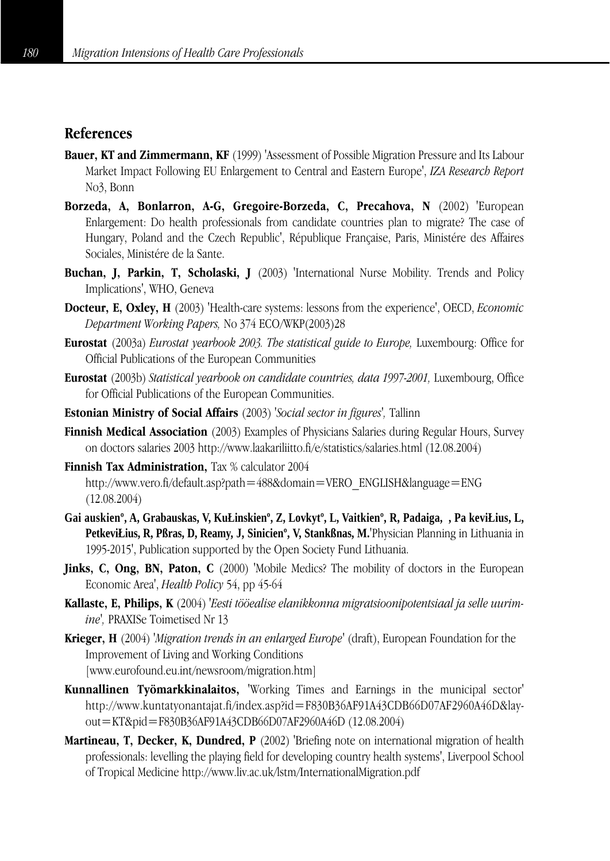# **References**

- **Bauer, KT and Zimmermann, KF** (1999) 'Assessment of Possible Migration Pressure and Its Labour Market Impact Following EU Enlargement to Central and Eastern Europe', *IZA Research Report* No3, Bonn
- **Borzeda, A, Bonlarron, A-G, Gregoire-Borzeda, C, Precahova, N** (2002) 'European Enlargement: Do health professionals from candidate countries plan to migrate? The case of Hungary, Poland and the Czech Republic', République Française, Paris, Ministére des Affaires Sociales, Ministére de la Sante.
- **Buchan, J, Parkin, T, Scholaski, J** (2003) 'International Nurse Mobility. Trends and Policy Implications', WHO, Geneva
- **Docteur, E, Oxley, H** (2003) 'Health-care systems: lessons from the experience', OECD, *Economic Department Working Papers,* No 374 ECO/WKP(2003)28
- **Eurostat** (2003a) *Eurostat yearbook 2003. The statistical guide to Europe,* Luxembourg: Office for Official Publications of the European Communities
- **Eurostat** (2003b) *Statistical yearbook on candidate countries, data 1997-2001,* Luxembourg, Office for Official Publications of the European Communities.
- **Estonian Ministry of Social Affairs** (2003) *'Social sector in figures',* Tallinn
- **Finnish Medical Association** (2003) Examples of Physicians Salaries during Regular Hours, Survey on doctors salaries 2003 http://www.laakariliitto.fi/e/statistics/salaries.html (12.08.2004)
- **Finnish Tax Administration.** Tax % calculator 2004 http://www.vero.fi/default.asp?path=488&domain=VERO\_ENGLISH&language=ENG (12.08.2004)
- **Gai auskienº, A, Grabauskas, V, KuŁinskienº, Z, Lovkytº, L, Vaitkienº, R, Padaiga, , Pa keviŁius, L, PetkeviŁius, R, Pßras, D, Reamy, J, Sinicienº, V, Stankßnas, M.**'Physician Planning in Lithuania in 1995-2015', Publication supported by the Open Society Fund Lithuania.
- **Jinks, C, Ong, BN, Paton, C** (2000) 'Mobile Medics? The mobility of doctors in the European Economic Area', *Health Policy* 54, pp 45-64
- **Kallaste, E, Philips, K** (2004) *'Eesti tööealise elanikkonna migratsioonipotentsiaal ja selle uurimine',* PRAXISe Toimetised Nr 13
- **Krieger, H** (2004) *'Migration trends in an enlarged Europe'* (draft), European Foundation for the Improvement of Living and Working Conditions [www.eurofound.eu.int/newsroom/migration.htm]
- **Kunnallinen Työmarkkinalaitos,** 'Working Times and Earnings in the municipal sector' http://www.kuntatyonantajat.fi/index.asp?id=F830B36AF91A43CDB66D07AF2960A46D&layout=KT&pid=F830B36AF91A43CDB66D07AF2960A46D (12.08.2004)
- **Martineau, T, Decker, K, Dundred, P** (2002) 'Briefing note on international migration of health professionals: levelling the playing field for developing country health systems', Liverpool School of Tropical Medicine http://www.liv.ac.uk/lstm/InternationalMigration.pdf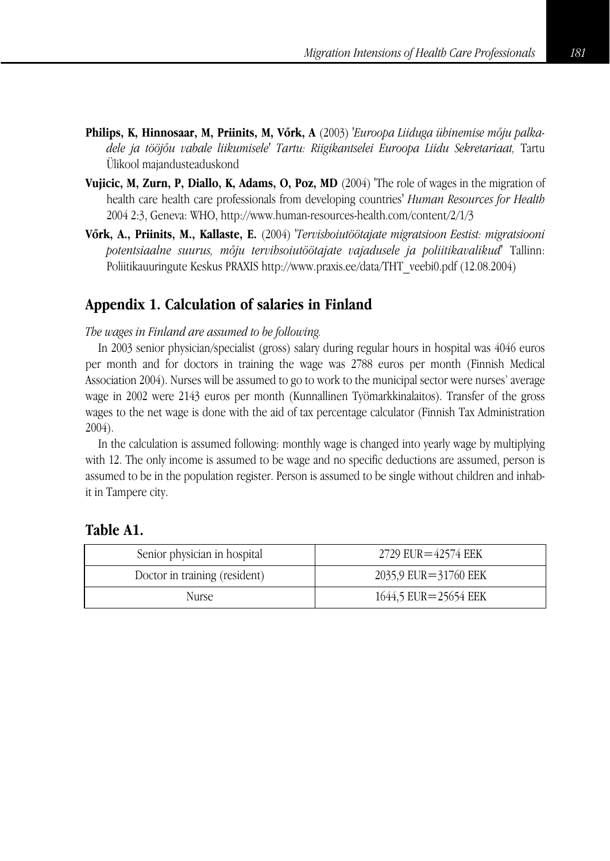- **Philips, K, Hinnosaar, M, Priinits, M, Võrk, A** (2003) *'Euroopa Liiduga ühinemise mõju palkadele ja tööjõu vabale liikumisele' Tartu: Riigikantselei Euroopa Liidu Sekretariaat,* Tartu Ülikool majandusteaduskond
- **Vujicic, M, Zurn, P, Diallo, K, Adams, O, Poz, MD** (2004) 'The role of wages in the migration of health care health care professionals from developing countries' *Human Resources for Health* 2004 2:3, Geneva: WHO, http://www.human-resources-health.com/content/2/1/3
- **Võrk, A., Priinits, M., Kallaste, E.** (2004) *'Tervishoiutöötajate migratsioon Eestist: migratsiooni potentsiaalne suurus, mõju tervihsoiutöötajate vajadusele ja poliitikavalikud'* Tallinn: Poliitikauuringute Keskus PRAXIS http://www.praxis.ee/data/THT\_veebi0.pdf (12.08.2004)

# **Appendix 1. Calculation of salaries in Finland**

#### *The wages in Finland are assumed to be following.*

In 2003 senior physician/specialist (gross) salary during regular hours in hospital was 4046 euros per month and for doctors in training the wage was 2788 euros per month (Finnish Medical Association 2004). Nurses will be assumed to go to work to the municipal sector were nurses' average wage in 2002 were 2143 euros per month (Kunnallinen Työmarkkinalaitos). Transfer of the gross wages to the net wage is done with the aid of tax percentage calculator (Finnish Tax Administration 2004).

In the calculation is assumed following: monthly wage is changed into yearly wage by multiplying with 12. The only income is assumed to be wage and no specific deductions are assumed, person is assumed to be in the population register. Person is assumed to be single without children and inhabit in Tampere city.

## **Table A1.**

| Senior physician in hospital  | $2729$ EUR $=$ 42574 EEK |
|-------------------------------|--------------------------|
| Doctor in training (resident) | 2035.9 EUR=31760 EEK     |
| Nurse.                        | 1644,5 EUR=25654 EEK     |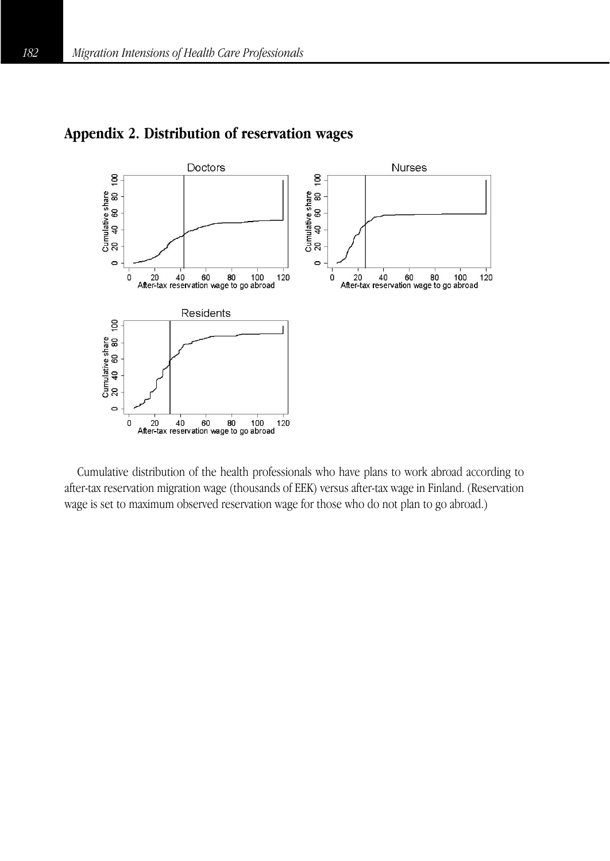

# **Appendix 2. Distribution of reservation wages**

Cumulative distribution of the health professionals who have plans to work abroad according to after-tax reservation migration wage (thousands of EEK) versus after-tax wage in Finland. (Reservation wage is set to maximum observed reservation wage for those who do not plan to go abroad.)